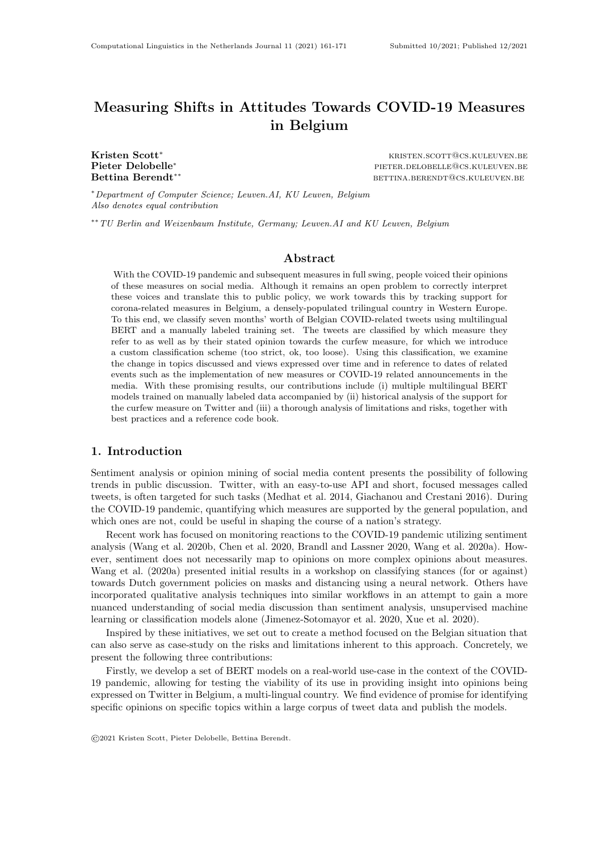# Measuring Shifts in Attitudes Towards COVID-19 Measures in Belgium

Pieter Delobelle<sup>∗</sup>

Kristen Scott<sup>∗</sup> kristen.scotten.begreen.ken.scott@cs.kuleuven.be pieter.delobelle@cs.kuleuven.be Bettina Berendt<sup>∗∗</sup> betting betting betting betting between the services. Betting between the between the services of the between the between the between the between the between the between the between the between the bet

<sup>∗</sup>Department of Computer Science; Leuven.AI, KU Leuven, Belgium Also denotes equal contribution

∗∗TU Berlin and Weizenbaum Institute, Germany; Leuven.AI and KU Leuven, Belgium

# Abstract

With the COVID-19 pandemic and subsequent measures in full swing, people voiced their opinions of these measures on social media. Although it remains an open problem to correctly interpret these voices and translate this to public policy, we work towards this by tracking support for corona-related measures in Belgium, a densely-populated trilingual country in Western Europe. To this end, we classify seven months' worth of Belgian COVID-related tweets using multilingual BERT and a manually labeled training set. The tweets are classified by which measure they refer to as well as by their stated opinion towards the curfew measure, for which we introduce a custom classification scheme (too strict, ok, too loose). Using this classification, we examine the change in topics discussed and views expressed over time and in reference to dates of related events such as the implementation of new measures or COVID-19 related announcements in the media. With these promising results, our contributions include (i) multiple multilingual BERT models trained on manually labeled data accompanied by (ii) historical analysis of the support for the curfew measure on Twitter and (iii) a thorough analysis of limitations and risks, together with best practices and a reference code book.

# 1. Introduction

Sentiment analysis or opinion mining of social media content presents the possibility of following trends in public discussion. Twitter, with an easy-to-use API and short, focused messages called tweets, is often targeted for such tasks (Medhat et al. 2014, Giachanou and Crestani 2016). During the COVID-19 pandemic, quantifying which measures are supported by the general population, and which ones are not, could be useful in shaping the course of a nation's strategy.

Recent work has focused on monitoring reactions to the COVID-19 pandemic utilizing sentiment analysis (Wang et al. 2020b, Chen et al. 2020, Brandl and Lassner 2020, Wang et al. 2020a). However, sentiment does not necessarily map to opinions on more complex opinions about measures. Wang et al. (2020a) presented initial results in a workshop on classifying stances (for or against) towards Dutch government policies on masks and distancing using a neural network. Others have incorporated qualitative analysis techniques into similar workflows in an attempt to gain a more nuanced understanding of social media discussion than sentiment analysis, unsupervised machine learning or classification models alone (Jimenez-Sotomayor et al. 2020, Xue et al. 2020).

Inspired by these initiatives, we set out to create a method focused on the Belgian situation that can also serve as case-study on the risks and limitations inherent to this approach. Concretely, we present the following three contributions:

Firstly, we develop a set of BERT models on a real-world use-case in the context of the COVID-19 pandemic, allowing for testing the viability of its use in providing insight into opinions being expressed on Twitter in Belgium, a multi-lingual country. We find evidence of promise for identifying specific opinions on specific topics within a large corpus of tweet data and publish the models.

<sup>©</sup>2021 Kristen Scott, Pieter Delobelle, Bettina Berendt.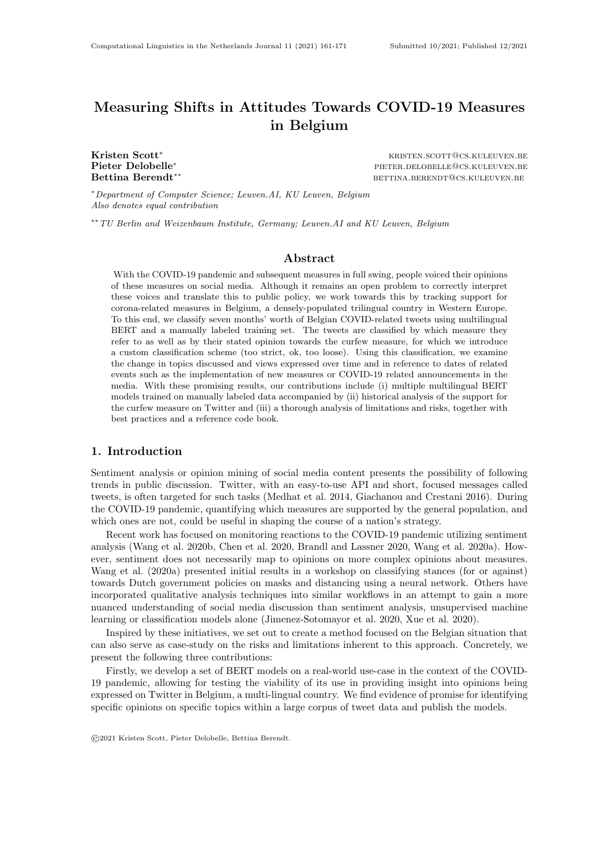Secondly, we visualize the trends in tweets on the topic of curfews over time, along with the corresponding shift in views towards Belgian curfew measures. This allows us to compare these tweets with dates of curfew policy shifts and their accompanying announcements. We reckon this could be useful for policy makers in the future.

Thirdly, we explicitly discuss the limitations and risks in the practice of utilizing social media data as a measure of public opinion or as an information source for policy makers. We provide an analysis of model results with an eye towards these known limitations, including an assessment of some specific potential biases of the BERT model itself. Communicating bias may improve the value of the research by adding specificity to a claim (Elish and boyd 2018). We need to be able to explicate potential pitfalls and develop best practices when working on such sensitive real-world use cases. We cannot separate the question of what we learned about COVID-19 restrictions opinions from questions of BERT model performance, data characteristics and labeling choices. Given the current confluence of advances in NLP language models, availability of social media content, and presence of globally discussed topics, our focus on limitations and risks is timely and needed, as can be seen by the explosion of papers applying NLP tools in a similar workflow.

# 2. Related Work

The recent COVID-19 pandemic has motivated a significant amount of research using Natural Language Processing (NLP) methods to analyze social media data for information about the public's response to the unprecedented pandemic. A large portion of this research utilizes sentiment analysis tools as a method for monitoring changing reactions of the public over time to the COVID pandemic, for example, (Wang et al. 2020b, Chen et al. 2020, Brandl and Lassner 2020, Kurten and Beullens 2021). However, sentiment analysis does not necessarily provide insight into specific opinions about a given government measure—a point that we will address in [Subsection 3.1.](#page-2-0)

Some of these analysis tools utilize BERT (Devlin et al. 2019), which is a state-of-the-art NLP model that uses pre-training and fine-tuning. This makes it easier than ever to create custom, domain-adapted classifiers that capture the nuances of discussions and opinions expressed in a given domain. BERT has been used for classification tasks, including sentiment, gender of writer and stance detection. Müller et al. (2020) have created a T-BERT, a model pre-trained on a large corpus of unclassified English language Twitter messages on the topic of COVID-19, which is not suitable for use in the context of countries such as Belgium, with multiple non-English official languages. Additionally, no previous work known to us has created a BERT-based model pre-trained on manually labeled multilingual tweets on the topic of COVID-19.

It is important to recognize that even a highly accurate model for classifying opinions expressed in tweets may not actually be sufficient for ensuring that such a model can act as a valid source of information about the public's opinions or accurately inform policy choices. The risks of using social media data to draw conclusions about the general population have been described in detail by Olteanu et al. (2016). Some points made in that work particularly salient to the current work include the demonstrated fact that Twitter users do not represent the population as a whole, which can create a biased representation of public opinion. The nature of social networks such as Twitter also provokes a tendency towards strong opinions and language that can polarize groups (Garimella and Weber 2017). People are motivated by a variety of goals when using social media, including gaining attention, or followers, causing disruptions ('trolling') or advertising a product. For example, Kıcıman (2012) found that network attributes, such as network size, correlate with different user behaviors on Twitter. There are also significant ethical considerations to be made regarding collecting and analyzing tweets in terms of privacy and surveillance concerns (franzke et al. 2020). Despite the extensive discussion, the perception that continued research of social data has a valuable role persists.

Olteanu et al. (2016) give specific recommendations for a path forward for conducting valuable research with social data, which include: documenting in detail the process by which datasets and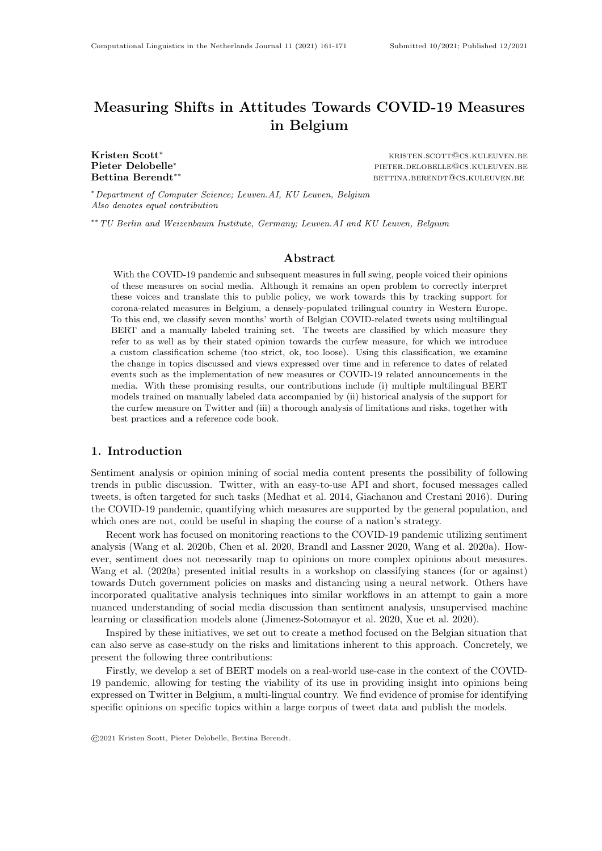Table 1: Labeling categories for each tweet.

<span id="page-2-4"></span>

| TOPIC                                                |                                                                                               | <b>MEASURE SUPPORT</b>                          | <b>GOVERNMENT SUPPORT</b>                    | RELEVANCE  |
|------------------------------------------------------|-----------------------------------------------------------------------------------------------|-------------------------------------------------|----------------------------------------------|------------|
| masks<br>curfew<br>quarantine<br>lockdown<br>schools | testing<br>closing- <i>horeca</i> <sup><math>\dagger</math></sup><br>vaccine<br>other-measure | too-strict<br>ok<br>too-loose<br>not-applicable | supportive<br>unsupportive<br>not-applicable | irrelevant |

<sup>†</sup> horeca = hotels, restaurants and bars ( $\setminus$ cafe" in Dutch)

models are created, including identifying sources of bias, broadening studies to varied contexts and extending the research on guidelines, standards, methodologies, and protocols, as well as to encouraging their adoption. To this end, in addition to providing open access to the search queries and models used for the current research, as is the standard expectation, we give particular attention to the process of documenting our work (including our code book and labeling methodologies). We also address these recommendations further in [Section 5.](#page-6-0)

# 3. Methodology

We used a multilingual BERT model to classify 1.3 million tweets related to the COVID-19 pandemic, based on a manually labeled training set, as described in [Subsection 3.1.](#page-2-0) The tweets were collected through the Twitter API from October 13, 2020 until April 08, 2021 using a continuously running script.<sup>[1](#page-2-1)</sup> Tweets were collected using (i) multilingual search terms related to COVID-19, corona and specific related topics<sup>[2](#page-2-2)</sup>, (ii) a language filter on Dutch, French and English, and (iii) a filter for locations in Belgium.

Given that the location field in Twitter is a free-form input and that some users do not use this feature, we relied on the occurrences of 'Belgium', translated versions and Unicode emoji flag in the location and free-form description field and the occurrence of a city or region in the location field<sup>[3](#page-2-3)</sup>. We also considered filtering using GPS coordinates that are available on some tweets, but during initial testing we saw no tweets that contained this metadata originating from Belgium.

In [Subsection 3.2,](#page-3-0) we describe how we use this dataset and the collected labels to develop multiple models. These models were developed synchronously with the labeling task. We started with a model to filter out irrelevant tweets (e.g. news announcements) to save labeling time (Sieve I). We then created a second model to classify the tweets into topics, which we use to focus on the curfew topic (Sieve II) for the more challenging labels: measure and government support. This interplay allowed us to reduce labeling cost and develop multiple models.

#### <span id="page-2-0"></span>3.1 Labeling

Two manually labeled datasets were used for training. The first, consisting of 1695 tweets was used for training the topics classifier. The second set of 2000 labeled tweets was used to classify support for curfews. As described in [Table 1,](#page-2-4) tweets were labeled by topic (curfew measure), as well as by two opinion axes: opinion toward specific measures (too strict, acceptable, not strict enough and a neutral option) and measure of the overall support expressed towards the government's handling of the pandemic (supportive, unsupportive).

We developed a code book which defines the labels procedure in detail. This labeling process was tested and refined through two rounds of labeling on smaller datasets with Belgian and multilin-

<span id="page-2-1"></span><sup>1.</sup> This script with search terms and all our code is available at <https://github.com/iPieter/bert-corona-tweets>.

<span id="page-2-2"></span><sup>2.</sup> These search terms are also available on our repository.

<span id="page-2-3"></span><sup>3.</sup> We queried DBPedia for Dutch, French and English names of cities (e.g. `Leuven') and regions (e.g. `Flanders').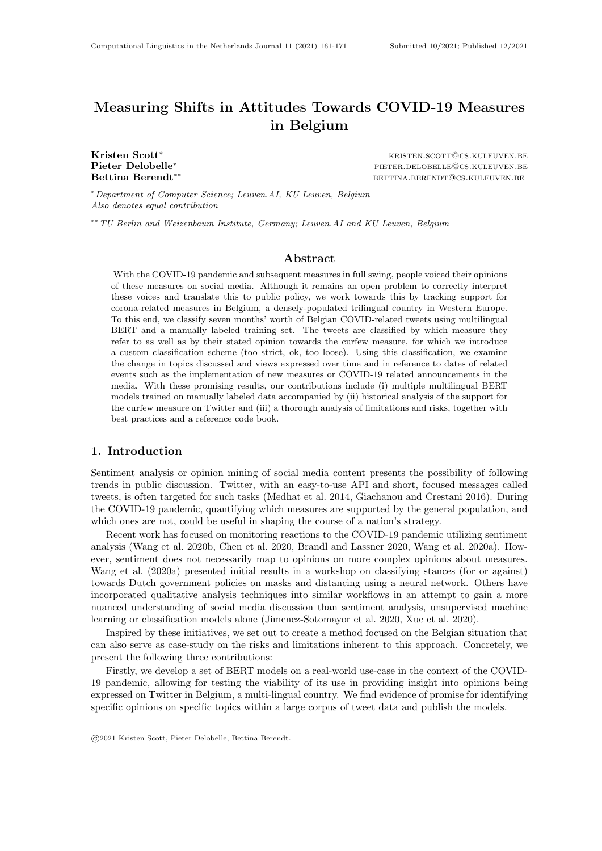<span id="page-3-2"></span>

Is the curfew measure too strict, too loose, or appropriate  $(6k')$ ?

Figure 1: Schematic illustration of our contribution with domain-specific classifiers.

gual labelers. Each round was followed by discussion, resolving of disagreement and making minor adjustments to the code book<sup>[4](#page-3-1)</sup>.

The specific measures labeled for were selected based on what was prevalent in public discourse, recent and upcoming regulations, and what we saw in the Twitter data. Additional topics were added as collecting continued, as various topics shifted in prevalence or emerged over time.

Two opinion axes were used to label tweets. The first captures the opinion toward specific measures (too strict, acceptable, not strict enough); the second axis is a measure of the overall support expressed towards the government's handling of the pandemic overall (supportive, unsupportive). For both of these axes, a *non-applicable* option was available to the labelers, for use if a tweet did not express a clear opinion towards a specific measure or towards the government response, see [Table 1.](#page-2-4)

To build an evaluation and test set, 200 tweets were labeled by three labelers; Krippendorff's alpha, a measure for inter-annotator agreement based on the fraction of equal and total labels, was unsatisfactorily low, at 0.40. This was followed by a round of discussion of disagreement, which led to clarification of definitions between coders and minor changes to the code book. A second round of labeling followed, during which which 400 tweets were labeled by two of the labelers and Krippendorff's alpha increased to 0.62. A second round of discussion and resolving of disagreement occurred. All subsequent labeling was done by one of these labelers.

Mapping support levels to sentiment. Our labeling axes differ from the classic sentiment analysis setting, as we have two 'negative' sentiments (too strict and too loose), a positive sentiment (measure ok) and additionally an ambivalent sentiment (no opinion expressed). During our test rounds, we found that a binary classification into positive and negative sentiment does not fully capture the stances that Twitter users took. There is quite a difference between stance that a measure is too strict and too loose, with the former being much more popular in our data. For this reason, we decided to not lump both together in a negative sentiment category.

Ambiguous tweets. The topic or context of a tweet is often ambiguous; it may be part of a conversation that is not included as a thread, or in reference to some topic that is no longer clear when reading it in a different time or place, or they may contain slang, hashtags or references that the coder may not be familiar with. Our coding policy was to conduct a minimal level of research when required: this includes clicking on any included links, and looking up unfamiliar terms.

# <span id="page-3-0"></span>3.2 Training

We developed multiple models to classify tweets, which correspond with the labeling rounds. [Figure 1](#page-3-2) shows how collected tweets on the topics are filtered and that we have four models: (i) a model to

<span id="page-3-1"></span><sup>4.</sup> Code book available at <https://github.com/iPieter/bert-corona-tweets>.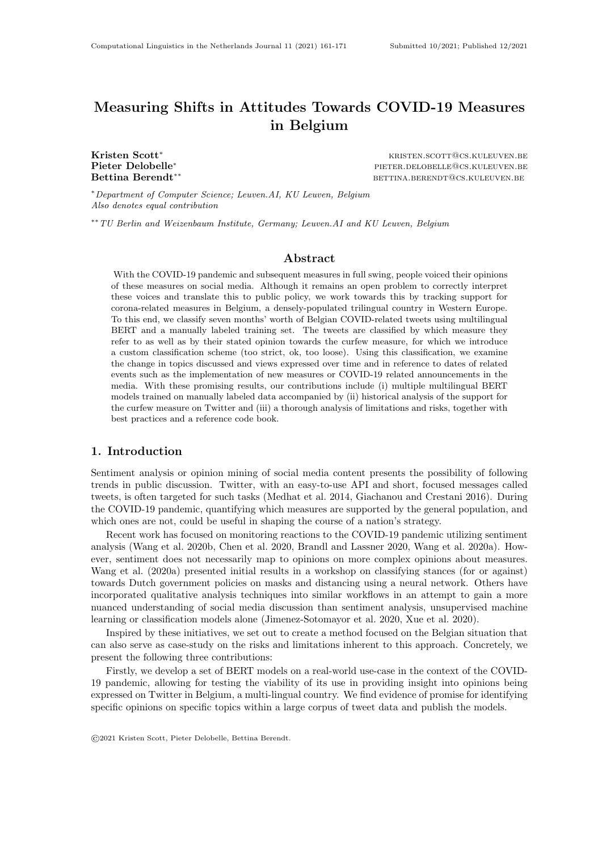<span id="page-4-0"></span>

(a) ROC curves for different model versions, including the threshold set on the first (400 tweets) model used as Sieve 1.

(b) ROC curves conditioned on language (English, Dutch and French) for the best-performing model: mBERT trained on 2k tweets.

Figure 2: ROC curves of different models trained (left) and the performance per language for the best-performing model (right).

filter irrelevant tweets for Sieve I, (ii) another model to classify topics and two models to (iii) predict support for a measure, curfew, and (iv) support for the government. As mentioned before, each sieve helped reduce the number of tweets that needed to be classified each round.

Classifying relevant tweets. For the first sieve, we focus on relevant versus irrelevant tweets as discussed in [Subsection 3.1](#page-2-0) Only 53% of the labeled tweets were relevant. To automatically filter these tweets, we trained and evaluated multilingual BERT (mBERT) (Devlin et al. 2019) and XLM-RoBERTa (Conneau et al. 2019) models.

Each training was run 8 times with random hyperparameters and the best-performing model using accuracy as a selection metric—was evaluated on a test set, following Dodge et al. (2019).

The mBERT model performed slightly better than XLM-RoBERTa, with an AUC score of 0.85 and 0.84 respectively. The mBERT model also had a higher true positive rate of 0.3 when selecting a threshold with a false positive rate of 0.0. This is acceptable, since the goal of this model is to filter out irrelevant, mostly automated, tweets in a first iteration. From a computational standpoint, the base mBERT model also has the benefit that it is significantly cheaper and faster to train due to a smaller model size.

We also developed this model in two iterations: (i) first by focusing on developing a model to remove irrelevant tweets that are usually automated and follow a fixed template, e.g. emergency service calls. We did this by training mBERT and XLM-RoBERTa on 400 labeled tweets. (ii) Using this model as a filter a threshold set for almost no false positives (see the threshold in [Figure 2a\)](#page-4-0), we labeled an additional 1695 tweets (this labeling round included all labels, not just relevance) and retrained the irrelevance model on the new dataset.

Classifying topics. We trained mBERT on 600 labeled tweets to classify topics, we validated 8 models on a validation set with 64 tweets and finally tested the best-performing model, using accuracy, on 100 tweets. The best-performing model had an overall accuracy of 0.73. Some classes perform very well, like curfew  $(AUC = 0.90)$ , lockdown  $(AUC = 0.85)$  and vaccine  $(AUC = 0.90)$ . Yet, some classes are ill-represented in the dataset and perform significantly worse, more specifically quarantine ( $AUC = 0.50$ ) and testing ( $N = 1$ ).

The topic model performs quite well overall and given our interest in the curfew topic specifically, this model is quite suitable as a filter (Sieve II in [Figure 1\)](#page-3-2). [Figure 3](#page-5-0) illustrates the result of the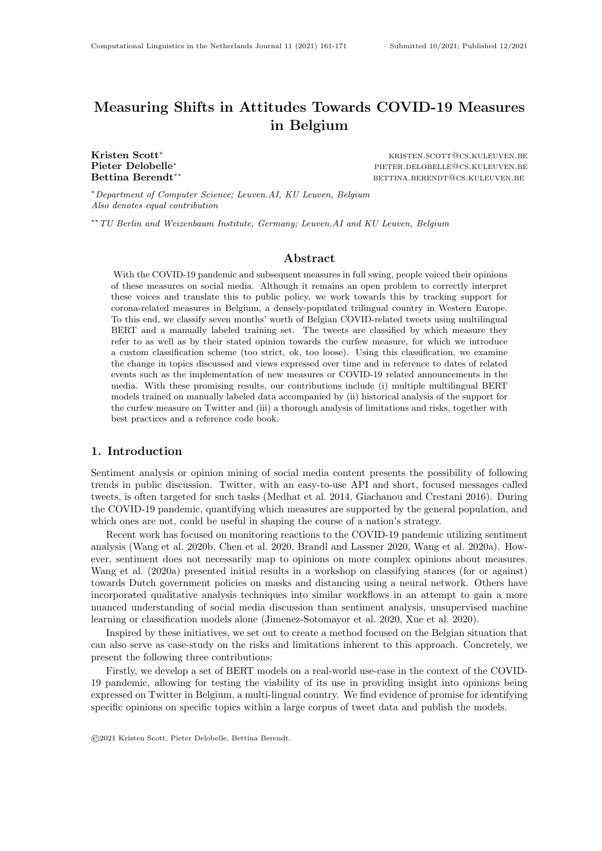<span id="page-5-0"></span>

(b) Fraction of collected tweets talking about schools in relation to the COVID-19 pandemic.

Figure 3: Two topics, vaccines and schools, that are discussed by Twitter users plotted over time.

topic classifier on our scraped dataset, where we visualized two topics (vaccines and schools) over time. We also make the model available on the HuggingFace repository<sup>[5](#page-5-1)</sup> for practitioners to use.

Classifying support for curfews. For the last classification model, we trained mBERT for multiclass classification on  $1518^6$  $1518^6$  tweets with support labels, of which 100 were used as held-out test set and 75 as validation split. We tested 5 hyperparameter assignments. The overall accuracy is 0.71. However, there is a significant class imbalance and despite oversampling, the performance varies from no better than random ( $AUC = 0.5$  for too-loose) to good ( $AUC = 0.74$  for not-applicable,  $AUC = 0.69$  for ok and  $AUC = 0.73$  for too-strict).

Given these results, we primarily focus on the too-strict label for the curfew topic in the rest of this work. We also make this model available through the HuggingFace repository[7](#page-5-3) .

Classifying support for the government. As mentioned in [Subsection 3.1,](#page-2-0) we also introduced a labeling axis on support for the government—which is different from support for a specific measure. After labeling, our data analysis revealed two trends: (i) the majority of tweets (82%) does not express any opinion on the government, which is very different from opinions on specific measures. (ii) Only 1.8% of the tweets is supportive of the government, whereas 12% is not. With these imbalances, most classification systems would struggle at best, which makes us question the usefulness of this classifier. Therefore, we opted to drop this labeling axis.

<span id="page-5-1"></span><sup>5.</sup> Available at <https://huggingface.co/DTAI-KULeuven/mbert-corona-tweets-belgium-topics>.

<span id="page-5-2"></span><sup>6.</sup> This were originally 2000 tweets of which the clearly irrelevant ones were ltered with Sieve I before labeling.

<span id="page-5-3"></span><sup>7.</sup> Available at <https://huggingface.co/DTAI-KULeuven/mbert-corona-tweets-belgium-curfew-support>.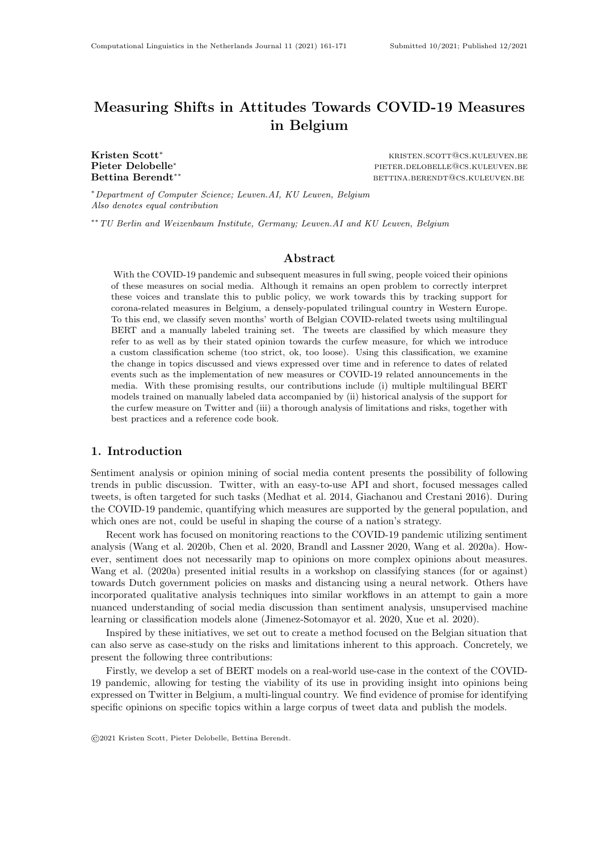# 4. Results

Here we focus on the topic of curfew for reporting of more detailed results. The timeline of the rate of classified tweets with the topic of curfew, along with classified rate of support (or non-support) for curfews, is shown in [Figure 4.](#page-7-0) Also included, for reference, is the rate of confirmed COVID-19 cases in Belgium (Sciensano 2021).

On November 2, 2020, Belgium entered a country-wide lockdown which included a national midnight curfew, while some regional curfews had been put in place in the days prior. We find media announcements of these upcoming curfews as well as announcements regarding the extension of these curfews (VRT NWS 2021, Johnston 2021) were accompanied by temporary increases in curfew-related tweets. In October, as the rate of curfew tweets dropped, there was no change in the opinions expressed about the curfew (with the majority remaining 'no opinion' until February). By contrast, during the 2021 increases in curfew tweets, we see a large change in opinions (particularly an increase in 'too strict').

Further research is required to determine whether the changes in negative opinion observed correspond to changes in public opinion or some other effect such as increased attention to particular announcements by individuals with consistent anti-curfew opinions. Interestingly, we also see that peaks in one polarity of the opinion about the measure, whether too strict or too loose, are not necessarily accompanied by a peak in the opposing opinion, as we might expect if increased discussion of the topic is due to an increase in contentious disagreement.

We also observed that opinions on measure strictness are just one element of the discussions around COVID measures, suggesting the use of Twitter for other forms of communication, such as information sharing and humor as well as conveying complex points of views and personal stories (e.g. about the impact of the curfew). The ability of BERT models to classify tweets based on our highly specific scale of strictness suggests that such models may be effective for categorizing based on other complex and nuanced labels when trained with carefully labeled data.

#### <span id="page-6-0"></span>5. Discussion

We were able to characterize the discussion on Twitter about different Belgian COVID-19 measures over approximately 7 months using multilingual BERT models. Interestingly, we found that the fraction of tweets expressing opinion that the curfew measure was 'too strict' remained stable for the first months that the curfew was in place. We saw an increase in the fraction of tweets expressing this opinion in early 2021, corresponding with announcements that the curfew would be continued. However, the fraction of 'curfew too strict' tweets then dropped, even though the curfew remained in place. This provides evidence for the common perception that the opinions expressed on Twitter are highly impacted by salient current event discussions.

Following the recommendations of (Olteanu et al. 2016), in this section, we will address some of the lessons and limitations of our work. More specifically, we discuss (i) challenges we encountered during labeling in [Subsection 5.1,](#page-6-1) (ii) limitations of the models in this paper in [Subsection 5.2](#page-7-1) and (iii) our thoughts on monolingual versus multilingual models for this setting in [Subsection 5.3.](#page-7-2)

## <span id="page-6-1"></span>5.1 Challenges with labeling

As discussed in [Subsection 3.2,](#page-3-0) we iteratively improved our code book during multiple feedback sessions between labelers. This methodology highlighted some issues with manually labeling data, such as missing or limited available context or subjectivity in labeling. In particular, tweets with hyperlinks or images or that are part of a long thread, pose additional challenges to correctly interpret within this context. Unraveling long threads is time consuming and following hyperlinks, which are obfuscated by Twitter's URL shortener, has some risks. We acknowledge that the point of view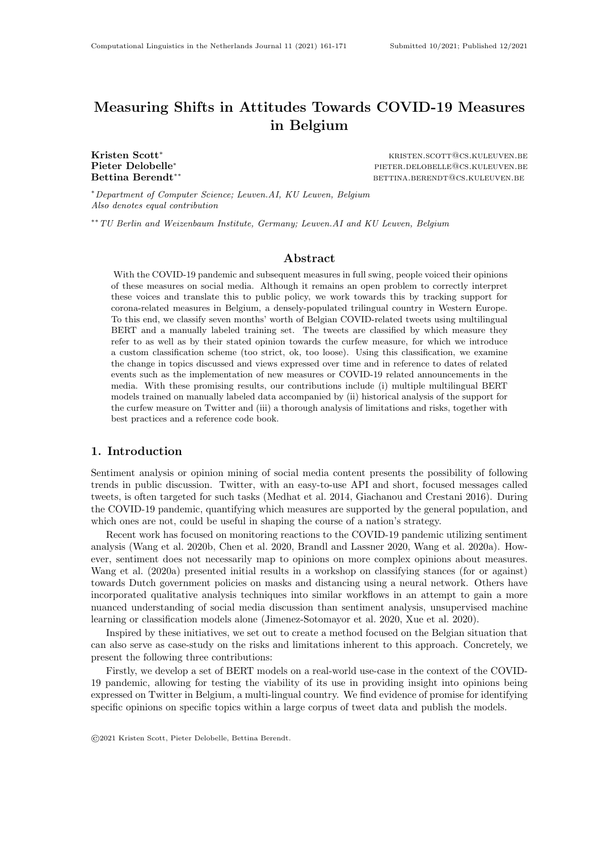<span id="page-7-0"></span>

Figure 4: Timeline of the relative number of tweets on the curfew topic (middle) and the fraction of those tweets that find the curfew too strict, too loose, or a suitable measure (bottom), with the number of daily cases in Belgium to give context on the pandemic situation (top).

of our labelers—and ours—is not the universal one. The code book is available to indicate what decisions we made as to how we have defined the labels.

#### <span id="page-7-1"></span>5.2 Limitations

Again, we reiterate that the Twitter activity measured and analyzed here are unlikely to be representative of the population of Belgium as a whole. Additionally, as we have demonstrated, the error rates of these models are unequal across categories, including across topics between languages. The issue of unequal performance among specific groups is likely to persist in any model that does not have  $100\%$  accuracy. In the context of using tweets to impact public policy, these differences can have real-world impact on which groups' opinions are able to have impact. Finally, if the models presented in this work were to be utilized to inform public policy, they would be highly vulnerable to gaming in their current state, through methods such as bot attacks or coordinated influence campaigns. This work does not claim to address those concerns.

#### <span id="page-7-2"></span>5.3 On the trade-offs between monolingual and multilingual models

In this work, we created multilingual models focusing on Dutch, French and English using mBERT and XLM-RoBERTa. Despite an overall acceptable performance, there are differences in performance between languages. Noticeably, French tweets are significantly more misclassified, as highlighted in [Figure 2b.](#page-4-0) One way of addressing this discrepancy, would be to create and use multiple monolingual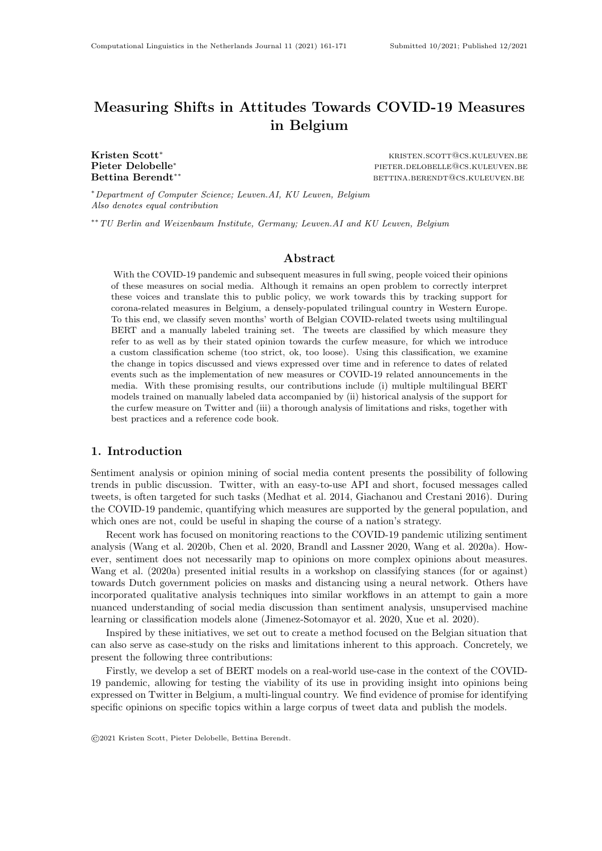models for each language, such as RobBERT (Delobelle et al. 2020) for Dutch, CamemBERT (Martin et al. 2020) for French and BERT (Devlin et al. 2019) or RoBERTa (Liu et al. 2019) for English.

However, this approach would also reduce the number of training examples available for each model. Our labeled dataset has no extreme skew towards one language, but French (24%) is slightly underrepresented in comparison to Dutch (41%) and English (35%). This could lead to a further reduction of performance for the French model and all others, since only the monolingual training data is used. For this reason, we opted for multilingual models where the same representations can be used and we can benefit from easier, non-separated model development. Yet, further research in this trade-off might be warranted.

#### 6. Conclusion and future work

We were able to observe the discussion on Twitter of Belgian COVID measures in three languages, over a 7-month time period. Using the models we developed, we observed some interesting patterns, like an increasing sentiment that the Belgian curfew was too strict, which also quickly faded away when cases rose again. However, we also found that the majority of the collected tweets did not express specific levels of support and thus we identified the need to characterize the nature of these non-opinionated tweets.

An important direction for future work is to understand the poorer performance of our model on opinions other than 'no opinion' and 'too strict'. While we do work with multiple languages, further work can be done to determine differential performance between languages, dialects and informal and slang texts. Given the small minority of German speakers in Belgium, introducing German tweets would have had detrimental effects on our data quality and model performance. However, future work should also aim to include German tweets when tracking support for coronarelated measures in Belgium. Related to this, language-specific classifiers can potentially increase performance, although more general multilingual models have the benefit of using all English, Dutch and French data. A comparative study of these trade-offs would be an interesting research direction.

# Acknowledgment

We thank Robin Cuypers for his assistance with data labeling. Kristen Scott was supported by the NoBIAS — H2020-MSCA-ITN-2019 project GA No. 860630. Pieter Delobelle was supported by the Research Foundation - Flanders (FWO) under EOS No. 30992574 (VeriLearn). Pieter Delobelle also received funding from the Flemish Government under the "Onderzoeksprogramma Artificiële Intelligentie (AI) Vlaanderen" programme. Bettina Berendt received funding from the German Federal Ministry of Education and Research (BMBF) – Nr. 16DII113f.

# References

- Brandl, Stephanie and David Lassner (2020), Corona twitter dataset: 16 february 2020 03 march 2020. http://dx.doi.org/10.14279/depositonce-10012.
- Chen, Emily, Kristina Lerman, and Emilio Ferrara (2020), Tracking social media discourse about the covid-19 pandemic: Development of a public coronavirus twitter data set, JMIR Public Health Surveill 6 (2), pp. e19273. http://publichealth.jmir.org/2020/2/e19273/.
- Conneau, Alexis, Kartikay Khandelwal, Naman Goyal, Vishrav Chaudhary, Guillaume Wenzek, Francisco Guzmán, Edouard Grave, Myle Ott, Luke Zettlemoyer, and Veselin Stoyanov (2019), Unsupervised cross-lingual representation learning at scale, CoRR. http://arxiv.org/abs/1911.02116.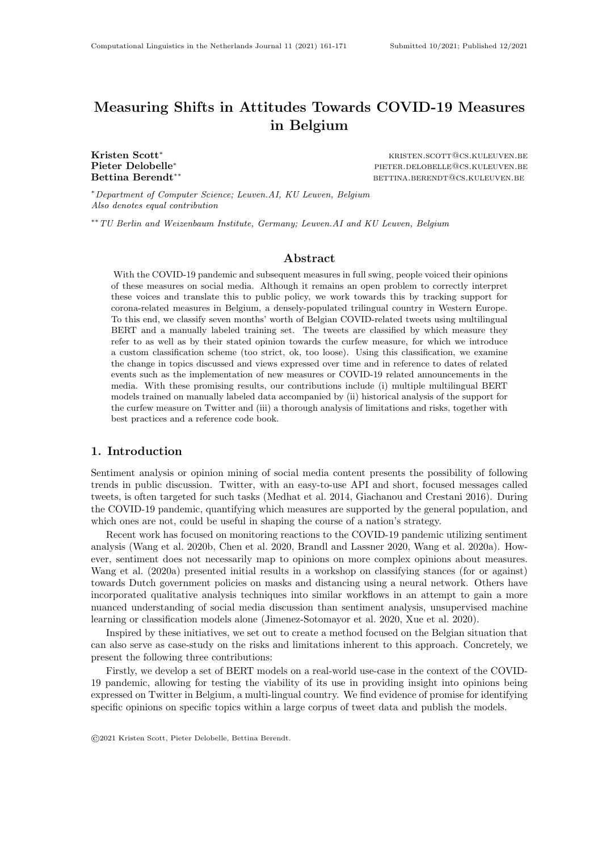- Delobelle, Pieter, Thomas Winters, and Bettina Berendt (2020), RobBERT: a Dutch RoBERTa-based Language Model, Findings of the Association for Computational Linguistics: EMNLP 2020, Association for Computational Linguistics, Online, pp. 3255–3265. https://www.aclweb.org/anthology/2020.findings-emnlp.292.
- Devlin, Jacob, Ming-Wei Chang, Kenton Lee, and Kristina Toutanova (2019), BERT: Pre-training of Deep Bidirectional Transformers for Language Understanding, Proceedings of the 2019 Conference of the North American Chapter of the Association for Computational Linguistics: Human Language Technologies, Volume 1 (Long and Short Papers), pp. 4171–4186.
- Dodge, Jesse, Suchin Gururangan, Dallas Card, Roy Schwartz, and Noah A. Smith (2019), Show your work: Improved reporting of experimental results, Proceedings of the 2019 Conference on Empirical Methods in Natural Language Processing and the 9th International Joint Conference on Natural Language Processing (EMNLP-IJCNLP), Association for Computational Linguistics, pp. 2185–2194. https://www.aclweb.org/anthology/D19-1224.
- Elish, M. C. and danah boyd (2018), Situating methods in the magic of Big Data and AI, Communication Monographs 85 (1), pp. 57–80. https://www.tandfonline.com/doi/full/10.1080/03637751.2017.1375130.
- franzke, aline shakti, Anja Bechmann, Michael Zimmer, Charles Ess, and the Association of Internet Researchers (2020), Internet Research: Ethical Guidelines 3.0. https://aoir.org/reports/ethics3.pdf.
- Garimella, Venkata Rama Kiran and Ingmar Weber (2017), A long-term analysis of polarization on twitter, Proceedings of the International AAAI Conference on Web and Social Media, Vol. 11.
- Giachanou, Anastasia and Fabio Crestani (2016), Like it or not: A survey of twitter sentiment analysis methods, ACM Comput. Surv., Association for Computing Machinery, New York, NY, USA. https://doi.org/10.1145/2938640.
- Jimenez-Sotomayor, Maria Renee, Carolina Gomez-Moreno, and Enrique Soto-Perezde-Celis (2020), Coronavirus, Ageism, and Twitter: An Evaluation of Tweets about Older Adults and COVID-19, Journal of the American Geriatrics Society 68 (8), pp. 1661–1665. eprint: https://onlinelibrary.wiley.com/doi/pdf/10.1111/jgs.16508. http://agsjournals.onlinelibrary.wiley.com/doi/abs/10.1111/jgs.16508.
- Johnston, Jules (2021), Brussels extends curfew to 1 March, The Brussels Times. https://www.brusselstimes.com/brussels/149404/brussels-extends-curfew-to-1-march-rudivervoort-epidemiological-situation/.
- Kıcıman, Emre (2012), Omg, i have to tweet that! a study of factors that influence tweet rates, Sixth International AAAI Conference on Weblogs and Social Media.
- Kurten, Sebastian and Kathleen Beullens (2021), #coronavirus: Monitoring the belgian twitter discourse on the severe acute respiratory syndrome coronavirus 2 pandemic, Cyberpsychology, Behavior, and Social Networking 24 (2), pp. 117-122. PMID: 32857607. https://doi.org/10.1089/cyber.2020.0341.
- Liu, Yinhan, Myle Ott, Naman Goyal, Jingfei Du, Mandar Joshi, Danqi Chen, Omer Levy, Mike Lewis, Luke Zettlemoyer, and Veselin Stoyanov (2019), Roberta: A robustly optimized bert pretraining approach, arXiv preprint arXiv:1907.11692.
- Martin, Louis, Benjamin Muller, Pedro Javier Ortiz Suárez, Yoann Dupont, Laurent Romary, Eric de la Clergerie, Djamé Seddah, and Benoît Sagot (2020), CamemBERT: a tasty